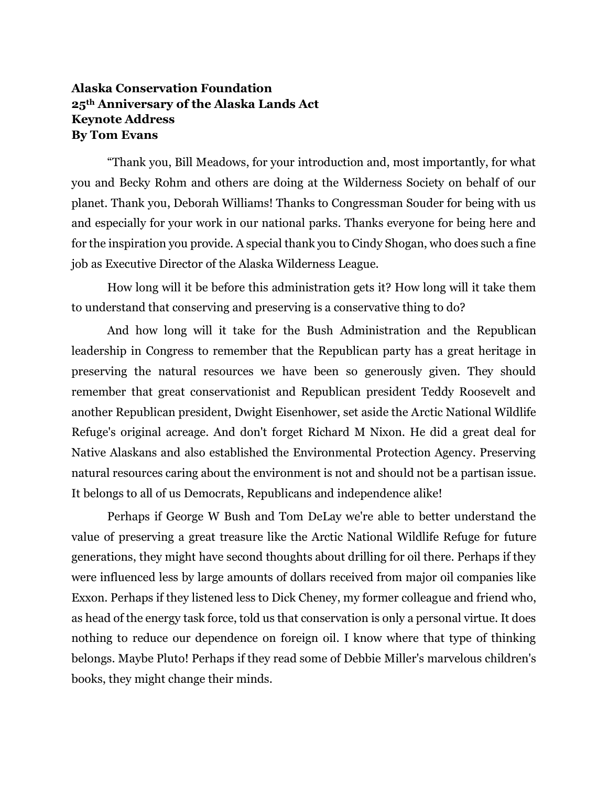## **Alaska Conservation Foundation 25th Anniversary of the Alaska Lands Act Keynote Address By Tom Evans**

"Thank you, Bill Meadows, for your introduction and, most importantly, for what you and Becky Rohm and others are doing at the Wilderness Society on behalf of our planet. Thank you, Deborah Williams! Thanks to Congressman Souder for being with us and especially for your work in our national parks. Thanks everyone for being here and for the inspiration you provide. A special thank you to Cindy Shogan, who does such a fine job as Executive Director of the Alaska Wilderness League.

How long will it be before this administration gets it? How long will it take them to understand that conserving and preserving is a conservative thing to do?

And how long will it take for the Bush Administration and the Republican leadership in Congress to remember that the Republican party has a great heritage in preserving the natural resources we have been so generously given. They should remember that great conservationist and Republican president Teddy Roosevelt and another Republican president, Dwight Eisenhower, set aside the Arctic National Wildlife Refuge's original acreage. And don't forget Richard M Nixon. He did a great deal for Native Alaskans and also established the Environmental Protection Agency. Preserving natural resources caring about the environment is not and should not be a partisan issue. It belongs to all of us Democrats, Republicans and independence alike!

Perhaps if George W Bush and Tom DeLay we're able to better understand the value of preserving a great treasure like the Arctic National Wildlife Refuge for future generations, they might have second thoughts about drilling for oil there. Perhaps if they were influenced less by large amounts of dollars received from major oil companies like Exxon. Perhaps if they listened less to Dick Cheney, my former colleague and friend who, as head of the energy task force, told us that conservation is only a personal virtue. It does nothing to reduce our dependence on foreign oil. I know where that type of thinking belongs. Maybe Pluto! Perhaps if they read some of Debbie Miller's marvelous children's books, they might change their minds.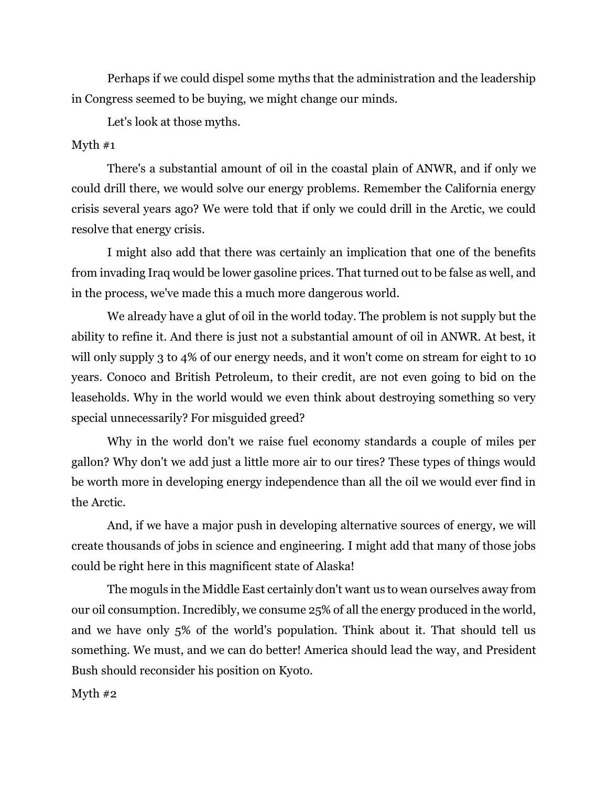Perhaps if we could dispel some myths that the administration and the leadership in Congress seemed to be buying, we might change our minds.

Let's look at those myths.

## Myth #1

There's a substantial amount of oil in the coastal plain of ANWR, and if only we could drill there, we would solve our energy problems. Remember the California energy crisis several years ago? We were told that if only we could drill in the Arctic, we could resolve that energy crisis.

I might also add that there was certainly an implication that one of the benefits from invading Iraq would be lower gasoline prices. That turned out to be false as well, and in the process, we've made this a much more dangerous world.

We already have a glut of oil in the world today. The problem is not supply but the ability to refine it. And there is just not a substantial amount of oil in ANWR. At best, it will only supply 3 to 4% of our energy needs, and it won't come on stream for eight to 10 years. Conoco and British Petroleum, to their credit, are not even going to bid on the leaseholds. Why in the world would we even think about destroying something so very special unnecessarily? For misguided greed?

Why in the world don't we raise fuel economy standards a couple of miles per gallon? Why don't we add just a little more air to our tires? These types of things would be worth more in developing energy independence than all the oil we would ever find in the Arctic.

And, if we have a major push in developing alternative sources of energy, we will create thousands of jobs in science and engineering. I might add that many of those jobs could be right here in this magnificent state of Alaska!

The moguls in the Middle East certainly don't want us to wean ourselves away from our oil consumption. Incredibly, we consume 25% of all the energy produced in the world, and we have only 5% of the world's population. Think about it. That should tell us something. We must, and we can do better! America should lead the way, and President Bush should reconsider his position on Kyoto.

Myth #2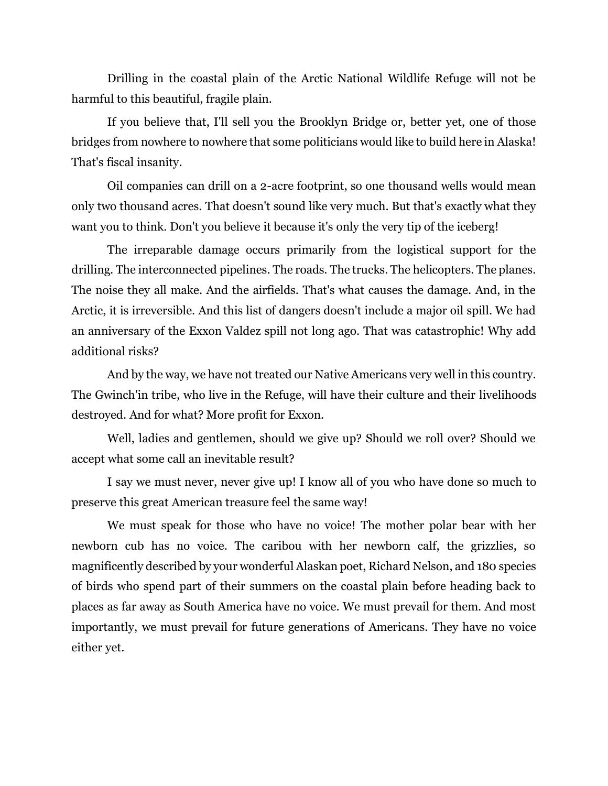Drilling in the coastal plain of the Arctic National Wildlife Refuge will not be harmful to this beautiful, fragile plain.

If you believe that, I'll sell you the Brooklyn Bridge or, better yet, one of those bridges from nowhere to nowhere that some politicians would like to build here in Alaska! That's fiscal insanity.

Oil companies can drill on a 2-acre footprint, so one thousand wells would mean only two thousand acres. That doesn't sound like very much. But that's exactly what they want you to think. Don't you believe it because it's only the very tip of the iceberg!

The irreparable damage occurs primarily from the logistical support for the drilling. The interconnected pipelines. The roads. The trucks. The helicopters. The planes. The noise they all make. And the airfields. That's what causes the damage. And, in the Arctic, it is irreversible. And this list of dangers doesn't include a major oil spill. We had an anniversary of the Exxon Valdez spill not long ago. That was catastrophic! Why add additional risks?

And by the way, we have not treated our Native Americans very well in this country. The Gwinch'in tribe, who live in the Refuge, will have their culture and their livelihoods destroyed. And for what? More profit for Exxon.

Well, ladies and gentlemen, should we give up? Should we roll over? Should we accept what some call an inevitable result?

I say we must never, never give up! I know all of you who have done so much to preserve this great American treasure feel the same way!

We must speak for those who have no voice! The mother polar bear with her newborn cub has no voice. The caribou with her newborn calf, the grizzlies, so magnificently described by your wonderful Alaskan poet, Richard Nelson, and 180 species of birds who spend part of their summers on the coastal plain before heading back to places as far away as South America have no voice. We must prevail for them. And most importantly, we must prevail for future generations of Americans. They have no voice either yet.